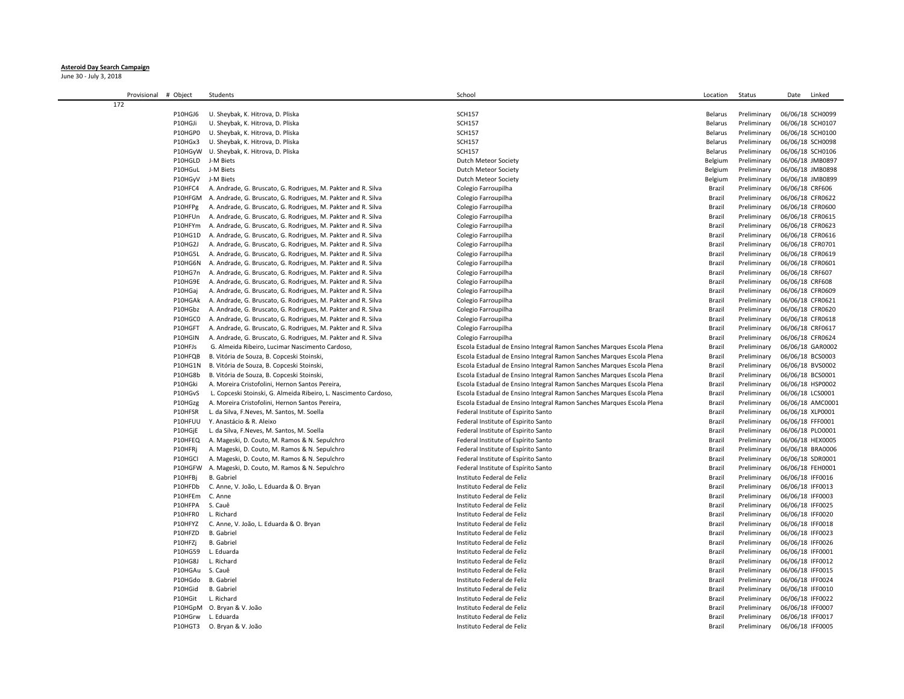## **Asteroid Day Search Campaign**

June 30 - July 3, 2018

| Provisional<br># Object | Students                                                         | School                                                                | Location | Status      | Date<br>Linked   |
|-------------------------|------------------------------------------------------------------|-----------------------------------------------------------------------|----------|-------------|------------------|
| 172                     |                                                                  |                                                                       |          |             |                  |
| P10HGJ6                 | U. Sheybak, K. Hitrova, D. Pliska                                | <b>SCH157</b>                                                         | Belarus  | Preliminary | 06/06/18 SCH0099 |
| P10HGJi                 | U. Sheybak, K. Hitrova, D. Pliska                                | <b>SCH157</b>                                                         | Belarus  | Preliminary | 06/06/18 SCH0107 |
| P10HGP0                 | U. Sheybak, K. Hitrova, D. Pliska                                | <b>SCH157</b>                                                         | Belarus  | Preliminary | 06/06/18 SCH0100 |
| P10HGx3                 | U. Sheybak, K. Hitrova, D. Pliska                                | <b>SCH157</b>                                                         | Belarus  | Preliminary | 06/06/18 SCH0098 |
| P10HGyW                 | U. Sheybak, K. Hitrova, D. Pliska                                | <b>SCH157</b>                                                         | Belarus  | Preliminary | 06/06/18 SCH0106 |
| P10HGLD                 | J-M Biets                                                        | Dutch Meteor Society                                                  | Belgium  | Preliminary | 06/06/18 JMB0897 |
| P10HGuL                 | J-M Biets                                                        | Dutch Meteor Society                                                  | Belgium  | Preliminary | 06/06/18 JMB0898 |
| P10HGyV                 | J-M Biets                                                        | Dutch Meteor Society                                                  | Belgium  | Preliminary | 06/06/18 JMB0899 |
| P10HFC4                 | A. Andrade, G. Bruscato, G. Rodrigues, M. Pakter and R. Silva    | Colegio Farroupilha                                                   | Brazil   | Preliminary | 06/06/18 CRF606  |
| P10HFGM                 | A. Andrade, G. Bruscato, G. Rodrigues, M. Pakter and R. Silva    | Colegio Farroupilha                                                   | Brazil   | Preliminary | 06/06/18 CFR0622 |
| P10HFPg                 | A. Andrade, G. Bruscato, G. Rodrigues, M. Pakter and R. Silva    | Colegio Farroupilha                                                   | Brazil   | Preliminary | 06/06/18 CFR0600 |
| P10HFUn                 | A. Andrade, G. Bruscato, G. Rodrigues, M. Pakter and R. Silva    | Colegio Farroupilha                                                   | Brazil   | Preliminary | 06/06/18 CFR0615 |
| P10HFYm                 | A. Andrade, G. Bruscato, G. Rodrigues, M. Pakter and R. Silva    | Colegio Farroupilha                                                   | Brazil   | Preliminary | 06/06/18 CFR0623 |
| P10HG1D                 | A. Andrade, G. Bruscato, G. Rodrigues, M. Pakter and R. Silva    | Colegio Farroupilha                                                   | Brazil   | Preliminary | 06/06/18 CFR0616 |
| P10HG2J                 | A. Andrade, G. Bruscato, G. Rodrigues, M. Pakter and R. Silva    | Colegio Farroupilha                                                   | Brazil   | Preliminary | 06/06/18 CFR0701 |
| P10HG5L                 | A. Andrade, G. Bruscato, G. Rodrigues, M. Pakter and R. Silva    | Colegio Farroupilha                                                   | Brazil   | Preliminary | 06/06/18 CFR0619 |
| P10HG6N                 | A. Andrade, G. Bruscato, G. Rodrigues, M. Pakter and R. Silva    | Colegio Farroupilha                                                   | Brazil   | Preliminary | 06/06/18 CFR0601 |
| P10HG7n                 | A. Andrade, G. Bruscato, G. Rodrigues, M. Pakter and R. Silva    | Colegio Farroupilha                                                   | Brazil   | Preliminary | 06/06/18 CRF607  |
| P10HG9E                 | A. Andrade, G. Bruscato, G. Rodrigues, M. Pakter and R. Silva    | Colegio Farroupilha                                                   | Brazil   | Preliminary | 06/06/18 CRF608  |
| P10HGaj                 | A. Andrade, G. Bruscato, G. Rodrigues, M. Pakter and R. Silva    | Colegio Farroupilha                                                   | Brazil   | Preliminary | 06/06/18 CFR0609 |
| P10HGAk                 | A. Andrade, G. Bruscato, G. Rodrigues, M. Pakter and R. Silva    | Colegio Farroupilha                                                   | Brazil   | Preliminary | 06/06/18 CFR0621 |
| P10HGbz                 | A. Andrade, G. Bruscato, G. Rodrigues, M. Pakter and R. Silva    | Colegio Farroupilha                                                   | Brazil   | Preliminary | 06/06/18 CFR0620 |
| P10HGC0                 | A. Andrade, G. Bruscato, G. Rodrigues, M. Pakter and R. Silva    | Colegio Farroupilha                                                   | Brazil   | Preliminary | 06/06/18 CFR0618 |
| P10HGFT                 | A. Andrade, G. Bruscato, G. Rodrigues, M. Pakter and R. Silva    | Colegio Farroupilha                                                   | Brazil   | Preliminary | 06/06/18 CRF0617 |
| P10HGIN                 | A. Andrade, G. Bruscato, G. Rodrigues, M. Pakter and R. Silva    | Colegio Farroupilha                                                   | Brazil   | Preliminary | 06/06/18 CFR0624 |
| P10HFJs                 | G. Almeida Ribeiro, Lucimar Nascimento Cardoso,                  | Escola Estadual de Ensino Integral Ramon Sanches Marques Escola Plena | Brazil   | Preliminary | 06/06/18 GAR0002 |
| P10HFQB                 | B. Vitória de Souza, B. Copceski Stoinski,                       | Escola Estadual de Ensino Integral Ramon Sanches Marques Escola Plena | Brazil   | Preliminary | 06/06/18 BCS0003 |
| P10HG1N                 | B. Vitória de Souza, B. Copceski Stoinski,                       | Escola Estadual de Ensino Integral Ramon Sanches Marques Escola Plena | Brazil   | Preliminary | 06/06/18 BVS0002 |
| P10HG8b                 | B. Vitória de Souza, B. Copceski Stoinski,                       | Escola Estadual de Ensino Integral Ramon Sanches Marques Escola Plena | Brazil   | Preliminary | 06/06/18 BCS0001 |
| P10HGki                 | A. Moreira Cristofolini, Hernon Santos Pereira,                  | Escola Estadual de Ensino Integral Ramon Sanches Marques Escola Plena | Brazil   | Preliminary | 06/06/18 HSP0002 |
| P10HGvS                 | L. Copceski Stoinski, G. Almeida Ribeiro, L. Nascimento Cardoso, | Escola Estadual de Ensino Integral Ramon Sanches Marques Escola Plena | Brazil   | Preliminary | 06/06/18 LCS0001 |
| P10HGzg                 | A. Moreira Cristofolini, Hernon Santos Pereira,                  | Escola Estadual de Ensino Integral Ramon Sanches Marques Escola Plena | Brazil   | Preliminary | 06/06/18 AMC0001 |
| P10HFSR                 | L. da Silva, F.Neves, M. Santos, M. Soella                       | Federal Institute of Espirito Santo                                   | Brazil   | Preliminary | 06/06/18 XLP0001 |
| P10HFUU                 | Y. Anastácio & R. Aleixo                                         | Federal Institute of Espirito Santo                                   | Brazil   | Preliminary | 06/06/18 FFF0001 |
| P10HGjE                 | L. da Silva, F.Neves, M. Santos, M. Soella                       | Federal Institute of Espirito Santo                                   | Brazil   | Preliminary | 06/06/18 PLO0001 |
| P10HFEQ                 | A. Mageski, D. Couto, M. Ramos & N. Sepulchro                    | Federal Institute of Espírito Santo                                   | Brazil   | Preliminary | 06/06/18 HEX0005 |
| P10HFRj                 | A. Mageski, D. Couto, M. Ramos & N. Sepulchro                    | Federal Institute of Espírito Santo                                   | Brazil   | Preliminary | 06/06/18 BRA0006 |
| P10HGCI                 | A. Mageski, D. Couto, M. Ramos & N. Sepulchro                    | Federal Institute of Espírito Santo                                   | Brazil   | Preliminary | 06/06/18 SDR0001 |
| P10HGFW                 | A. Mageski, D. Couto, M. Ramos & N. Sepulchro                    | Federal Institute of Espírito Santo                                   | Brazil   | Preliminary | 06/06/18 FEH0001 |
| P10HFBj                 | <b>B.</b> Gabriel                                                | Instituto Federal de Feliz                                            | Brazil   | Preliminary | 06/06/18 IFF0016 |
| P10HFDb                 | C. Anne, V. João, L. Eduarda & O. Bryan                          | Instituto Federal de Feliz                                            | Brazil   | Preliminary | 06/06/18 IFF0013 |
| P10HFEm                 | C. Anne                                                          | Instituto Federal de Feliz                                            | Brazil   | Preliminary | 06/06/18 IFF0003 |
| P10HFPA                 | S. Cauê                                                          | Instituto Federal de Feliz                                            | Brazil   | Preliminary | 06/06/18 IFF0025 |
| P10HFR0                 | L. Richard                                                       | Instituto Federal de Feliz                                            | Brazil   | Preliminary | 06/06/18 IFF0020 |
| P10HFYZ                 | C. Anne, V. João, L. Eduarda & O. Bryan                          | Instituto Federal de Feliz                                            | Brazil   | Preliminary | 06/06/18 IFF0018 |
| P10HFZD                 | <b>B.</b> Gabriel                                                | Instituto Federal de Feliz                                            | Brazil   | Preliminary | 06/06/18 IFF0023 |
| P10HFZj                 | <b>B.</b> Gabriel                                                | Instituto Federal de Feliz                                            | Brazil   | Preliminary | 06/06/18 IFF0026 |
| P10HG59                 | L. Eduarda                                                       | Instituto Federal de Feliz                                            | Brazil   | Preliminary | 06/06/18 IFF0001 |
| P10HG8J                 | L. Richard                                                       | Instituto Federal de Feliz                                            | Brazil   | Preliminary | 06/06/18 IFF0012 |
| P10HGAu                 | S. Cauê                                                          | Instituto Federal de Feliz                                            | Brazil   | Preliminary | 06/06/18 IFF0015 |
| P10HGdo                 | <b>B.</b> Gabriel                                                | Instituto Federal de Feliz                                            | Brazil   | Preliminary | 06/06/18 IFF0024 |
| P10HGid                 | <b>B.</b> Gabriel                                                | Instituto Federal de Feliz                                            | Brazil   | Preliminary | 06/06/18 IFF0010 |
| P10HGit                 | L. Richard                                                       | Instituto Federal de Feliz                                            | Brazil   | Preliminary | 06/06/18 IFF0022 |
|                         | P10HGpM O. Bryan & V. João                                       | Instituto Federal de Feliz                                            | Brazil   | Preliminary | 06/06/18 IFF0007 |
| P10HGrw                 | L. Eduarda                                                       | Instituto Federal de Feliz                                            | Brazil   | Preliminary | 06/06/18 IFF0017 |
|                         | P10HGT3 O. Bryan & V. João                                       | Instituto Federal de Feliz                                            | Brazil   | Preliminary | 06/06/18 IFF0005 |
|                         |                                                                  |                                                                       |          |             |                  |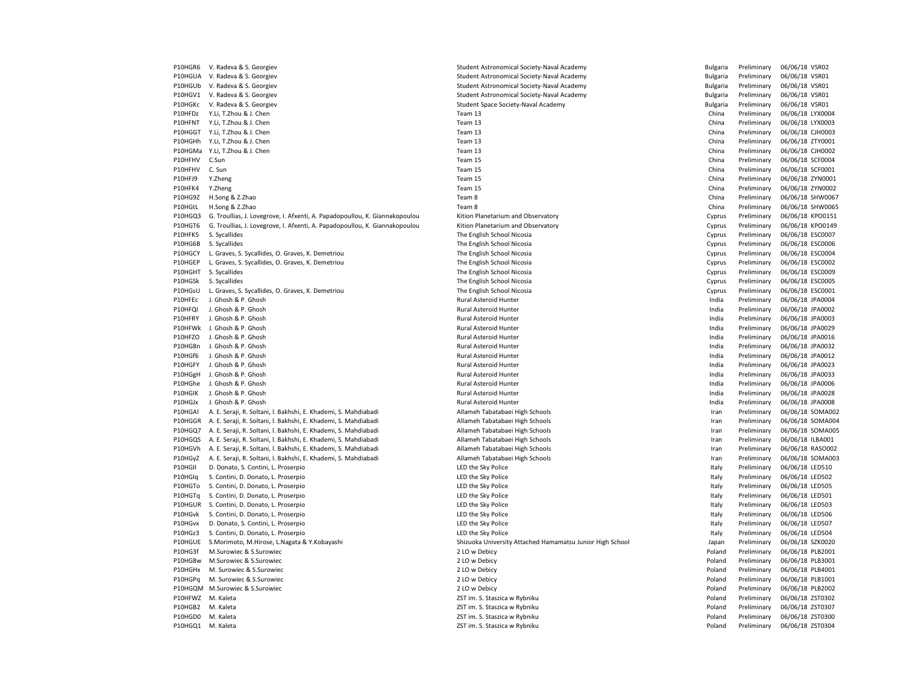| P10HGR6 | V. Radeva & S. Georgiev                                                     | Student Astronomical Society-Naval Academy                | <b>Bulgaria</b> | Preliminary | 06/06/18 VSR02   |
|---------|-----------------------------------------------------------------------------|-----------------------------------------------------------|-----------------|-------------|------------------|
| P10HGUA | V. Radeva & S. Georgiev                                                     | Student Astronomical Society-Naval Academy                | Bulgaria        | Preliminary | 06/06/18 VSR01   |
| P10HGUb | V. Radeva & S. Georgiev                                                     | Student Astronomical Society-Naval Academy                | Bulgaria        | Preliminary | 06/06/18 VSR01   |
| P10HGV1 | V. Radeva & S. Georgiev                                                     | Student Astronomical Society-Naval Academy                | Bulgaria        | Preliminary | 06/06/18 VSR01   |
| P10HGKc | V. Radeva & S. Georgiev                                                     | Student Space Society-Naval Academy                       | <b>Bulgaria</b> | Preliminary | 06/06/18 VSR01   |
| P10HFDz | Y.Li, T.Zhou & J. Chen                                                      | Team 13                                                   | China           | Preliminary | 06/06/18 LYX0004 |
| P10HFNT | Y.Li, T.Zhou & J. Chen                                                      | Team 13                                                   | China           | Preliminary | 06/06/18 LYX0003 |
| P10HGGT | Y.Li, T.Zhou & J. Chen                                                      | Team 13                                                   | China           | Preliminary | 06/06/18 CJH0003 |
| P10HGHh | Y.Li, T.Zhou & J. Chen                                                      | Team 13                                                   | China           | Preliminary | 06/06/18 ZTY0001 |
|         | P10HGMa Y.Li, T.Zhou & J. Chen                                              | Team 13                                                   | China           | Preliminary | 06/06/18 CJH0002 |
| P10HFHV | C.Sun                                                                       | Team 15                                                   | China           | Preliminary | 06/06/18 SCF0004 |
| P10HFHV | C. Sun                                                                      | Team 15                                                   | China           | Preliminary | 06/06/18 SCF0001 |
| P10HFJ9 | Y.Zheng                                                                     | Team 15                                                   | China           | Preliminary | 06/06/18 ZYN0001 |
| P10HFK4 | Y.Zheng                                                                     | Team 15                                                   | China           | Preliminary | 06/06/18 ZYN0002 |
| P10HG9Z | H.Song & Z.Zhao                                                             | Team 8                                                    | China           | Preliminary | 06/06/18 SHW0067 |
| P10HGtL | H.Song & Z.Zhao                                                             | Team 8                                                    | China           | Preliminary | 06/06/18 SHW0065 |
| P10HGQ3 | G. Troullias, J. Lovegrove, I. Afxenti, A. Papadopoullou, K. Giannakopoulou | Kition Planetarium and Observatory                        | Cyprus          | Preliminary | 06/06/18 KPO0151 |
| P10HGT6 | G. Troullias, J. Lovegrove, I. Afxenti, A. Papadopoullou, K. Giannakopoulou | Kition Planetarium and Observatory                        | Cyprus          | Preliminary | 06/06/18 KPO0149 |
| P10HFK5 | S. Sycallides                                                               | The English School Nicosia                                | Cyprus          | Preliminary | 06/06/18 ESC0007 |
| P10HG6B | S. Sycallides                                                               | The English School Nicosia                                | Cyprus          | Preliminary | 06/06/18 ESC0006 |
| P10HGCY | L. Graves, S. Sycallides, O. Graves, K. Demetriou                           | The English School Nicosia                                | Cyprus          | Preliminary | 06/06/18 ESC0004 |
| P10HGEP | L. Graves, S. Sycallides, O. Graves, K. Demetriou                           | The English School Nicosia                                | Cyprus          | Preliminary | 06/06/18 ESC0002 |
|         |                                                                             |                                                           |                 | Preliminary |                  |
| P10HGHT | S. Sycallides                                                               | The English School Nicosia                                | Cyprus          |             | 06/06/18 ESC0009 |
| P10HGSk | S. Sycallides                                                               | The English School Nicosia                                | Cyprus          | Preliminary | 06/06/18 ESC0005 |
| P10HGsU | L. Graves, S. Sycallides, O. Graves, K. Demetriou                           | The English School Nicosia                                | Cyprus          | Preliminary | 06/06/18 ESC0001 |
| P10HFEc | J. Ghosh & P. Ghosh                                                         | Rural Asteroid Hunter                                     | India           | Preliminary | 06/06/18 JPA0004 |
| P10HFQI | J. Ghosh & P. Ghosh                                                         | Rural Asteroid Hunter                                     | India           | Preliminary | 06/06/18 JPA0002 |
| P10HFRY | J. Ghosh & P. Ghosh                                                         | <b>Rural Asteroid Hunter</b>                              | India           | Preliminary | 06/06/18 JPA0003 |
| P10HFWk | J. Ghosh & P. Ghosh                                                         | Rural Asteroid Hunter                                     | India           | Preliminary | 06/06/18 JPA0029 |
| P10HFZO | J. Ghosh & P. Ghosh                                                         | Rural Asteroid Hunter                                     | India           | Preliminary | 06/06/18 JPA0016 |
| P10HG8n | J. Ghosh & P. Ghosh                                                         | Rural Asteroid Hunter                                     | India           | Preliminary | 06/06/18 JPA0032 |
| P10HGf6 | J. Ghosh & P. Ghosh                                                         | Rural Asteroid Hunter                                     | India           | Preliminary | 06/06/18 JPA0012 |
| P10HGFY | J. Ghosh & P. Ghosh                                                         | Rural Asteroid Hunter                                     | India           | Preliminary | 06/06/18 JPA0023 |
| P10HGgH | J. Ghosh & P. Ghosh                                                         | Rural Asteroid Hunter                                     | India           | Preliminary | 06/06/18 JPA0033 |
| P10HGhe | J. Ghosh & P. Ghosh                                                         | Rural Asteroid Hunter                                     | India           | Preliminary | 06/06/18 JPA0006 |
| P10HGIK | J. Ghosh & P. Ghosh                                                         | Rural Asteroid Hunter                                     | India           | Preliminary | 06/06/18 JPA0028 |
| P10HGJx | J. Ghosh & P. Ghosh                                                         | Rural Asteroid Hunter                                     | India           | Preliminary | 06/06/18 JPA0008 |
| P10HGAI | A. E. Seraji, R. Soltani, I. Bakhshi, E. Khademi, S. Mahdiabadi             | Allameh Tabatabaei High Schools                           | Iran            | Preliminary | 06/06/18 SOMA002 |
| P10HGGR | A. E. Seraji, R. Soltani, I. Bakhshi, E. Khademi, S. Mahdiabadi             | Allameh Tabatabaei High Schools                           | Iran            | Preliminary | 06/06/18 SOMA004 |
| P10HGQ7 | A. E. Seraji, R. Soltani, I. Bakhshi, E. Khademi, S. Mahdiabadi             | Allameh Tabatabaei High Schools                           | Iran            | Preliminary | 06/06/18 SOMA005 |
| P10HGQS | A. E. Seraji, R. Soltani, I. Bakhshi, E. Khademi, S. Mahdiabadi             | Allameh Tabatabaei High Schools                           | Iran            | Preliminary | 06/06/18 ILBA001 |
| P10HGVh | A. E. Seraji, R. Soltani, I. Bakhshi, E. Khademi, S. Mahdiabadi             | Allameh Tabatabaei High Schools                           | Iran            | Preliminary | 06/06/18 RASO002 |
| P10HGyZ | A. E. Seraji, R. Soltani, I. Bakhshi, E. Khademi, S. Mahdiabadi             | Allameh Tabatabaei High Schools                           | Iran            | Preliminary | 06/06/18 SOMA003 |
| P10HGII | D. Donato, S. Contini, L. Proserpio                                         | LED the Sky Police                                        | Italy           | Preliminary | 06/06/18 LED510  |
| P10HGIq | S. Contini, D. Donato, L. Proserpio                                         | LED the Sky Police                                        | Italy           | Preliminary | 06/06/18 LED502  |
| P10HGTo | S. Contini, D. Donato, L. Proserpio                                         | LED the Sky Police                                        | Italy           | Preliminary | 06/06/18 LED505  |
| P10HGTq | S. Contini, D. Donato, L. Proserpio                                         | LED the Sky Police                                        | Italy           | Preliminary | 06/06/18 LED501  |
| P10HGUR | S. Contini, D. Donato, L. Proserpio                                         | LED the Sky Police                                        | Italy           | Preliminary | 06/06/18 LED503  |
| P10HGvk | S. Contini, D. Donato, L. Proserpio                                         | LED the Sky Police                                        | Italy           | Preliminary | 06/06/18 LED506  |
| P10HGvx | D. Donato, S. Contini, L. Proserpio                                         | LED the Sky Police                                        | Italy           | Preliminary | 06/06/18 LED507  |
| P10HGz3 | S. Contini, D. Donato, L. Proserpio                                         | LED the Sky Police                                        | Italy           | Preliminary | 06/06/18 LED504  |
| P10HGUE | S.Morimoto, M.Hirose, L.Nagata & Y.Kobayashi                                | Shizuoka University Attached Hamamatsu Junior High School | Japan           | Preliminary | 06/06/18 SZK0020 |
| P10HG3f | M.Surowiec & S.Surowiec                                                     | 2 LO w Debicy                                             | Poland          | Preliminary | 06/06/18 PLB2001 |
| P10HG8w | M.Surowiec & S.Surowiec                                                     | 2 LO w Debicy                                             | Poland          | Preliminary | 06/06/18 PLB3001 |
| P10HGHx | M. Surowiec & S.Surowiec                                                    | 2 LO w Debicy                                             | Poland          | Preliminary | 06/06/18 PLB4001 |
| P10HGPq | M. Surowiec & S.Surowiec                                                    | 2 LO w Debicy                                             | Poland          | Preliminary | 06/06/18 PLB1001 |
|         | P10HGQM M.Surowiec & S.Surowiec                                             | 2 LO w Debicy                                             | Poland          | Preliminary | 06/06/18 PLB2002 |
| P10HFWZ | M. Kaleta                                                                   | ZST im. S. Staszica w Rybniku                             | Poland          | Preliminary | 06/06/18 ZST0302 |
| P10HGB2 | M. Kaleta                                                                   | ZST im. S. Staszica w Rybniku                             | Poland          | Preliminary | 06/06/18 ZST0307 |
| P10HGD0 | M. Kaleta                                                                   | ZST im. S. Staszica w Rybniku                             | Poland          | Preliminary | 06/06/18 ZST0300 |
| P10HGQ1 | M. Kaleta                                                                   | ZST im. S. Staszica w Rybniku                             | Poland          | Preliminary | 06/06/18 ZST0304 |
|         |                                                                             |                                                           |                 |             |                  |